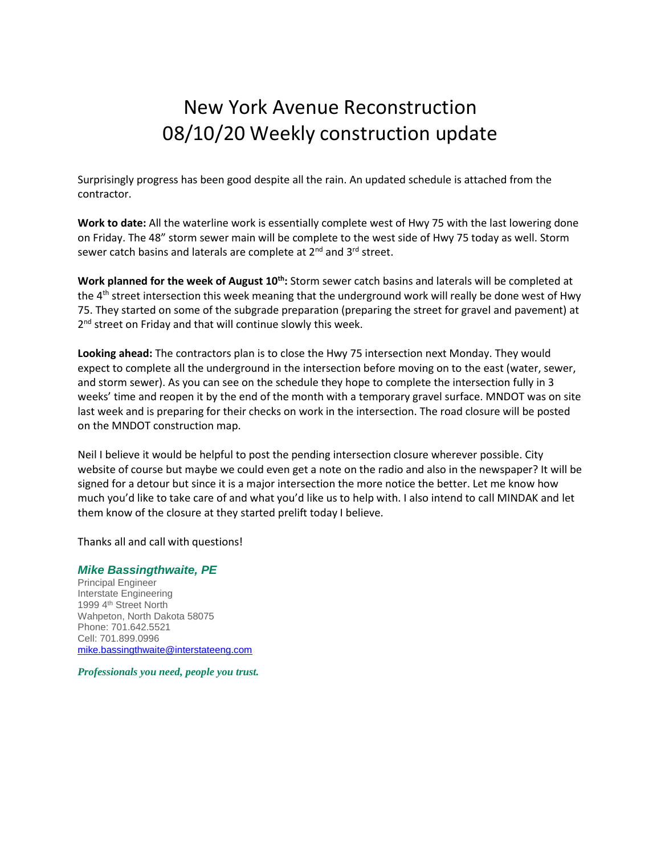## New York Avenue Reconstruction 08/10/20 Weekly construction update

Surprisingly progress has been good despite all the rain. An updated schedule is attached from the contractor.

**Work to date:** All the waterline work is essentially complete west of Hwy 75 with the last lowering done on Friday. The 48" storm sewer main will be complete to the west side of Hwy 75 today as well. Storm sewer catch basins and laterals are complete at 2<sup>nd</sup> and 3<sup>rd</sup> street.

**Work planned for the week of August 10th:** Storm sewer catch basins and laterals will be completed at the 4<sup>th</sup> street intersection this week meaning that the underground work will really be done west of Hwy 75. They started on some of the subgrade preparation (preparing the street for gravel and pavement) at 2<sup>nd</sup> street on Friday and that will continue slowly this week.

**Looking ahead:** The contractors plan is to close the Hwy 75 intersection next Monday. They would expect to complete all the underground in the intersection before moving on to the east (water, sewer, and storm sewer). As you can see on the schedule they hope to complete the intersection fully in 3 weeks' time and reopen it by the end of the month with a temporary gravel surface. MNDOT was on site last week and is preparing for their checks on work in the intersection. The road closure will be posted on the MNDOT construction map.

Neil I believe it would be helpful to post the pending intersection closure wherever possible. City website of course but maybe we could even get a note on the radio and also in the newspaper? It will be signed for a detour but since it is a major intersection the more notice the better. Let me know how much you'd like to take care of and what you'd like us to help with. I also intend to call MINDAK and let them know of the closure at they started prelift today I believe.

Thanks all and call with questions!

## *Mike Bassingthwaite, PE*

Principal Engineer Interstate Engineering 1999 4<sup>th</sup> Street North Wahpeton, North Dakota 58075 Phone: 701.642.5521 Cell: 701.899.0996 [mike.bassingthwaite@interstateeng.com](mailto:mike.bassingthwaite@interstateeng.com)

*Professionals you need, people you trust.*